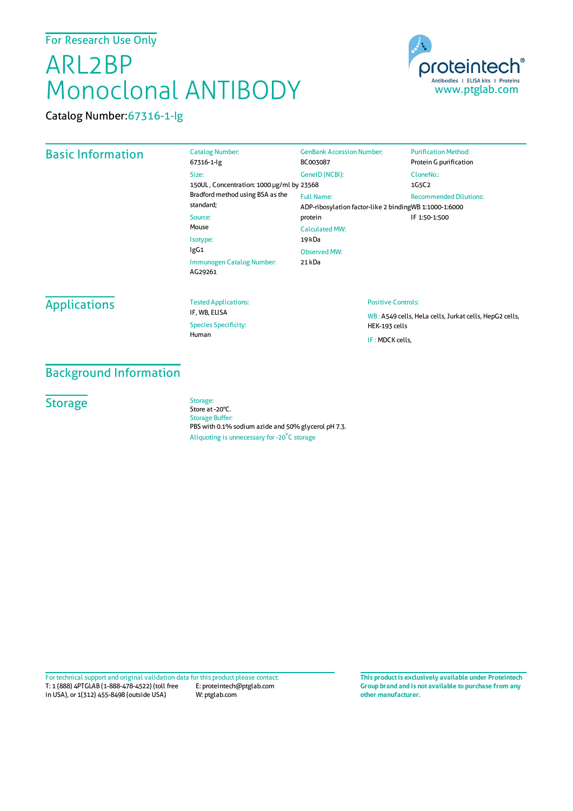# ARL2BP Monoclonal ANTIBODY



Catalog Number:67316-1-Ig

## Basic Information

| <b>Purification Method:</b>                            |  |
|--------------------------------------------------------|--|
| Protein G purification                                 |  |
| CloneNo.:                                              |  |
| 1G5C2                                                  |  |
| <b>Recommended Dilutions:</b>                          |  |
| ADP-ribosylation factor-like 2 bindingWB 1:1000-1:6000 |  |
| IF 1:50-1:500                                          |  |
|                                                        |  |
|                                                        |  |
|                                                        |  |
|                                                        |  |
|                                                        |  |
|                                                        |  |

# **Applications**

Tested Applications: IF, WB, ELISA Species Specificity: Human

#### Positive Controls:

WB : A549 cells, HeLa cells, Jurkat cells, HepG2 cells, HEK-193 cells IF :MDCK cells,

### Background Information

# **Storage**

Storage: Store at -20°C. Storage Buffer: PBS with 0.1% sodium azide and 50% glycerol pH 7.3. Aliquoting is unnecessary for -20<sup>°</sup>C storage

T: 1 (888) 4PTGLAB (1-888-478-4522) (toll free in USA), or 1(312) 455-8498 (outside USA) E: proteintech@ptglab.com W: ptglab.com Fortechnical support and original validation data forthis product please contact: **This productis exclusively available under Proteintech**

**Group brand and is not available to purchase from any other manufacturer.**